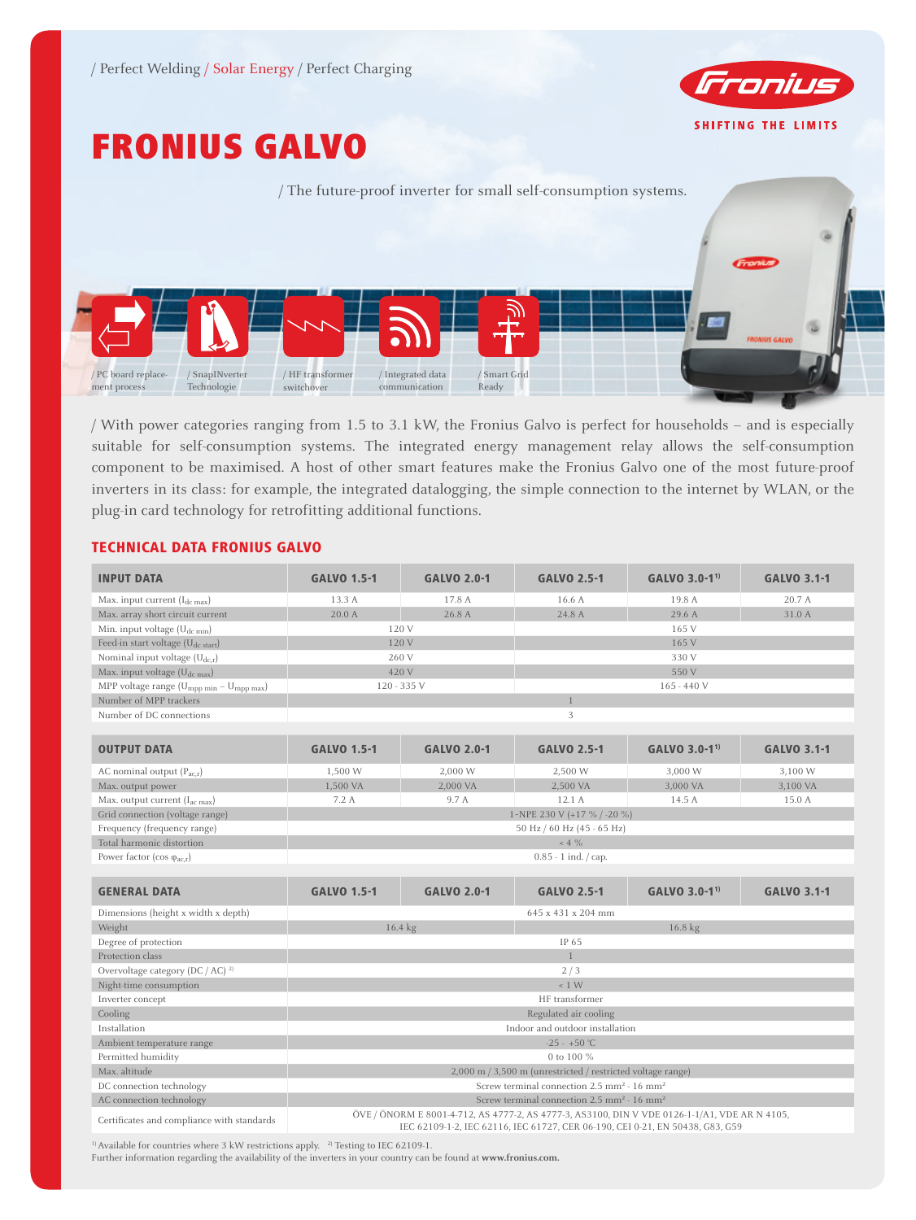

# FRONIUS GALVO



/ With power categories ranging from 1.5 to 3.1 kW, the Fronius Galvo is perfect for households – and is especially suitable for self-consumption systems. The integrated energy management relay allows the self-consumption component to be maximised. A host of other smart features make the Fronius Galvo one of the most future-proof inverters in its class: for example, the integrated datalogging, the simple connection to the internet by WLAN, or the plug-in card technology for retrofitting additional functions.

# TECHNICAL DATA FRONIUS GALVO

| <b>INPUT DATA</b>                                                | <b>GALVO 1.5-1</b>                                                                                                                                                             | <b>GALVO 2.0-1</b> | <b>GALVO 2.5-1</b>                                             | GALVO 3.0-1 <sup>1)</sup> | <b>GALVO 3.1-1</b> |  |  |  |
|------------------------------------------------------------------|--------------------------------------------------------------------------------------------------------------------------------------------------------------------------------|--------------------|----------------------------------------------------------------|---------------------------|--------------------|--|--|--|
| Max. input current $(I_{dc\,max})$                               | 13.3 A                                                                                                                                                                         | 17.8 A             | 16.6 A                                                         | 19.8 A                    | 20.7 A             |  |  |  |
| Max. array short circuit current                                 | 20.0 A                                                                                                                                                                         | 26.8 A             | 24.8 A                                                         | 29.6 A                    | 31.0 A             |  |  |  |
| Min. input voltage $(U_{dc,min})$                                | 120 V                                                                                                                                                                          |                    | 165 V                                                          |                           |                    |  |  |  |
| Feed-in start voltage (U <sub>dc start</sub> )                   | 120 V                                                                                                                                                                          |                    | 165 V                                                          |                           |                    |  |  |  |
| Nominal input voltage $(U_{dc,r})$                               | 260 V                                                                                                                                                                          |                    | 330 V                                                          |                           |                    |  |  |  |
| Max. input voltage (U <sub>dc max</sub> )                        | 420 V                                                                                                                                                                          |                    | 550 V                                                          |                           |                    |  |  |  |
| MPP voltage range (U <sub>mpp min</sub> - U <sub>mpp max</sub> ) | 120 - 335 V                                                                                                                                                                    |                    | $165 - 440$ V                                                  |                           |                    |  |  |  |
| Number of MPP trackers                                           |                                                                                                                                                                                |                    | $\mathbf{1}$                                                   |                           |                    |  |  |  |
| Number of DC connections                                         | 3                                                                                                                                                                              |                    |                                                                |                           |                    |  |  |  |
|                                                                  |                                                                                                                                                                                |                    |                                                                |                           |                    |  |  |  |
| <b>OUTPUT DATA</b>                                               | <b>GALVO 1.5-1</b>                                                                                                                                                             | <b>GALVO 2.0-1</b> | <b>GALVO 2.5-1</b>                                             | GALVO 3.0-1 <sup>1)</sup> | <b>GALVO 3.1-1</b> |  |  |  |
| AC nominal output $(P_{acx})$                                    | 1,500 W                                                                                                                                                                        | 2,000 W            | 2,500 W                                                        | 3,000 W                   | 3,100 W            |  |  |  |
| Max. output power                                                | 1,500 VA                                                                                                                                                                       | 2,000 VA           | 2,500 VA                                                       | 3,000 VA                  | 3,100 VA           |  |  |  |
| Max. output current $(I_{ac max})$                               | 7.2A                                                                                                                                                                           | 9.7 A              | 12.1 A                                                         | 14.5 A                    | 15.0 A             |  |  |  |
| Grid connection (voltage range)                                  | 1~NPE 230 V (+17 % / -20 %)                                                                                                                                                    |                    |                                                                |                           |                    |  |  |  |
| Frequency (frequency range)                                      | 50 Hz / 60 Hz (45 - 65 Hz)                                                                                                                                                     |                    |                                                                |                           |                    |  |  |  |
| Total harmonic distortion                                        | $~<$ 4 $\%$                                                                                                                                                                    |                    |                                                                |                           |                    |  |  |  |
| Power factor (cos $\varphi_{ac,r}$ )                             | $0.85 - 1$ ind. $\frac{1}{2}$ cap.                                                                                                                                             |                    |                                                                |                           |                    |  |  |  |
|                                                                  |                                                                                                                                                                                |                    |                                                                |                           |                    |  |  |  |
| <b>GENERAL DATA</b>                                              | <b>GALVO 1.5-1</b>                                                                                                                                                             | <b>GALVO 2.0-1</b> | <b>GALVO 2.5-1</b>                                             | GALVO 3.0-1 <sup>1)</sup> | <b>GALVO 3.1-1</b> |  |  |  |
| Dimensions (height x width x depth)                              | 645 x 431 x 204 mm                                                                                                                                                             |                    |                                                                |                           |                    |  |  |  |
| Weight                                                           | 16.4 kg                                                                                                                                                                        |                    | 16.8 kg                                                        |                           |                    |  |  |  |
| Degree of protection                                             | IP 65                                                                                                                                                                          |                    |                                                                |                           |                    |  |  |  |
| Protection class                                                 | $\mathbf{1}$                                                                                                                                                                   |                    |                                                                |                           |                    |  |  |  |
| Overvoltage category (DC / AC) <sup>2)</sup>                     | 2/3                                                                                                                                                                            |                    |                                                                |                           |                    |  |  |  |
| Night-time consumption                                           | ~1 W                                                                                                                                                                           |                    |                                                                |                           |                    |  |  |  |
| Inverter concept                                                 | HF transformer                                                                                                                                                                 |                    |                                                                |                           |                    |  |  |  |
| Cooling                                                          | Regulated air cooling                                                                                                                                                          |                    |                                                                |                           |                    |  |  |  |
| Installation                                                     | Indoor and outdoor installation                                                                                                                                                |                    |                                                                |                           |                    |  |  |  |
| Ambient temperature range                                        | $-25 - +50$ °C                                                                                                                                                                 |                    |                                                                |                           |                    |  |  |  |
| Permitted humidity                                               | 0 to 100 %                                                                                                                                                                     |                    |                                                                |                           |                    |  |  |  |
| Max. altitude                                                    | 2,000 m / 3,500 m (unrestricted / restricted voltage range)                                                                                                                    |                    |                                                                |                           |                    |  |  |  |
| DC connection technology                                         | Screw terminal connection $2.5 \text{ mm}^2 \cdot 16 \text{ mm}^2$                                                                                                             |                    |                                                                |                           |                    |  |  |  |
| AC connection technology                                         |                                                                                                                                                                                |                    | Screw terminal connection $2.5 \text{ mm}^2 - 16 \text{ mm}^2$ |                           |                    |  |  |  |
| Certificates and compliance with standards                       | ÖVE / ÖNORM E 8001-4-712, AS 4777-2, AS 4777-3, AS3100, DIN V VDE 0126-1-1/A1, VDE AR N 4105,<br>IEC 62109-1-2, IEC 62116, IEC 61727, CER 06-190, CEI 0-21, EN 50438, G83, G59 |                    |                                                                |                           |                    |  |  |  |

 $^{\rm 1)}$  Available for countries where 3 kW restrictions apply.  $^{\rm 2)}$  Testing to IEC 62109-1.

Further information regarding the availability of the inverters in your country can be found at **www.fronius.com.**